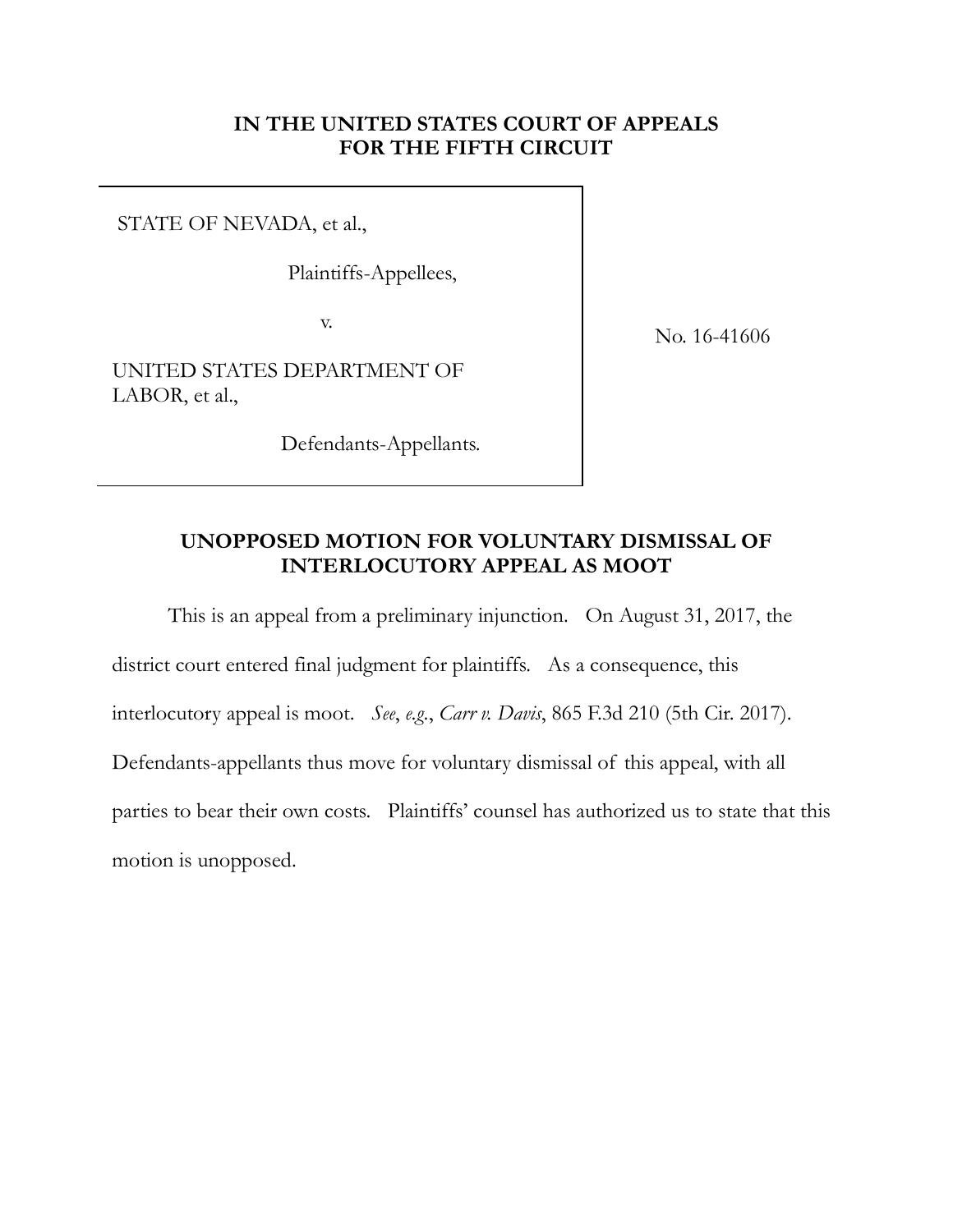### **IN THE UNITED STATES COURT OF APPEALS FOR THE FIFTH CIRCUIT**

STATE OF NEVADA, et al.,

Plaintiffs-Appellees,

v.

No. 16-41606

UNITED STATES DEPARTMENT OF LABOR, et al.,

Defendants-Appellants.

#### **UNOPPOSED MOTION FOR VOLUNTARY DISMISSAL OF INTERLOCUTORY APPEAL AS MOOT**

This is an appeal from a preliminary injunction. On August 31, 2017, the district court entered final judgment for plaintiffs. As a consequence, this interlocutory appeal is moot. *See*, *e.g.*, *Carr v. Davis*, 865 F.3d 210 (5th Cir. 2017). Defendants-appellants thus move for voluntary dismissal of this appeal, with all parties to bear their own costs. Plaintiffs' counsel has authorized us to state that this motion is unopposed.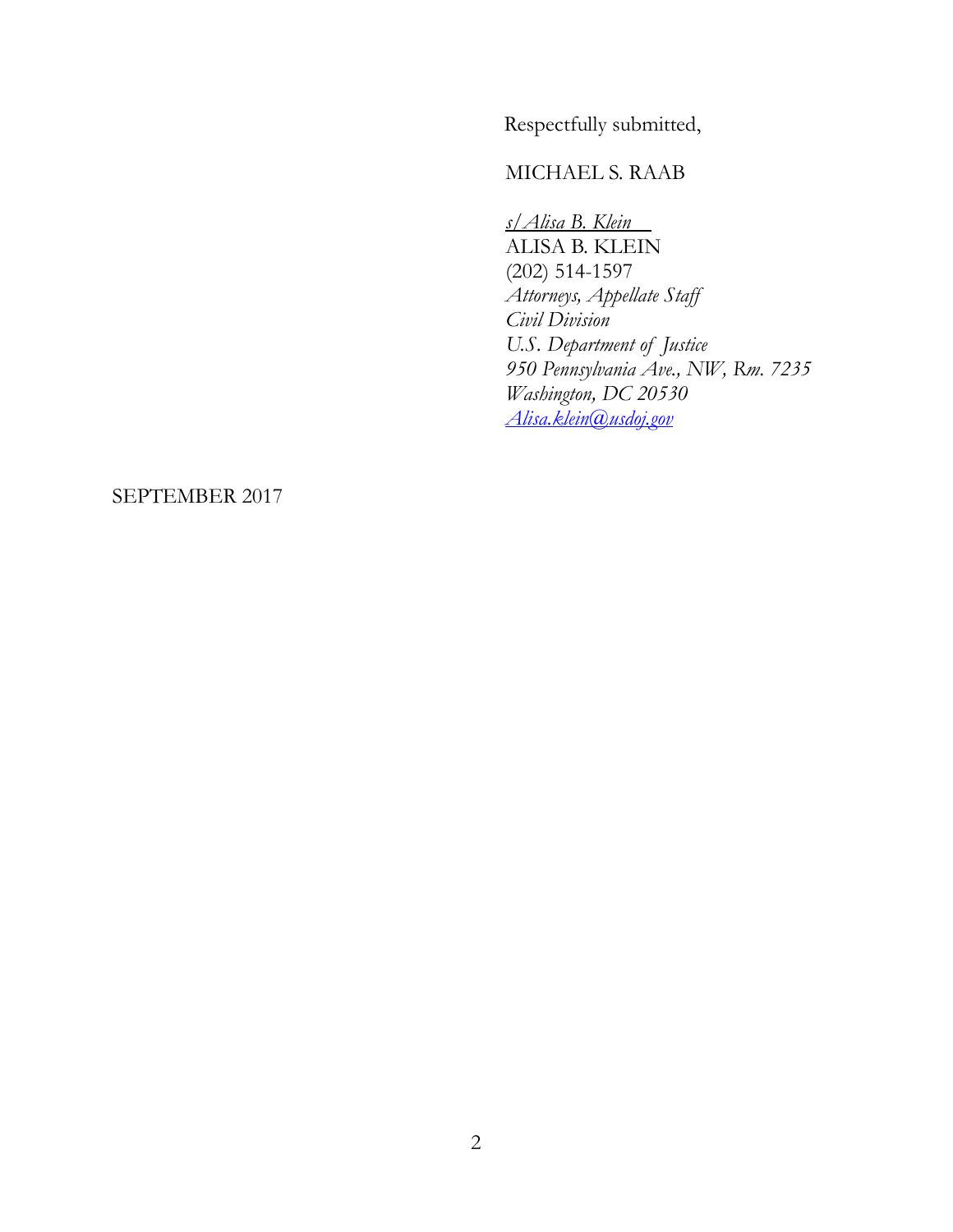Respectfully submitted,

#### MICHAEL S. RAAB

*s/Alisa B. Klein*  ALISA B. KLEIN (202) 514-1597 *Attorneys, Appellate Staff Civil Division U.S. Department of Justice 950 Pennsylvania Ave., NW, Rm. 7235 Washington, DC 20530 [Alisa.klein@usdoj.gov](mailto:Alisa.klein@usdoj.gov)*

#### SEPTEMBER 2017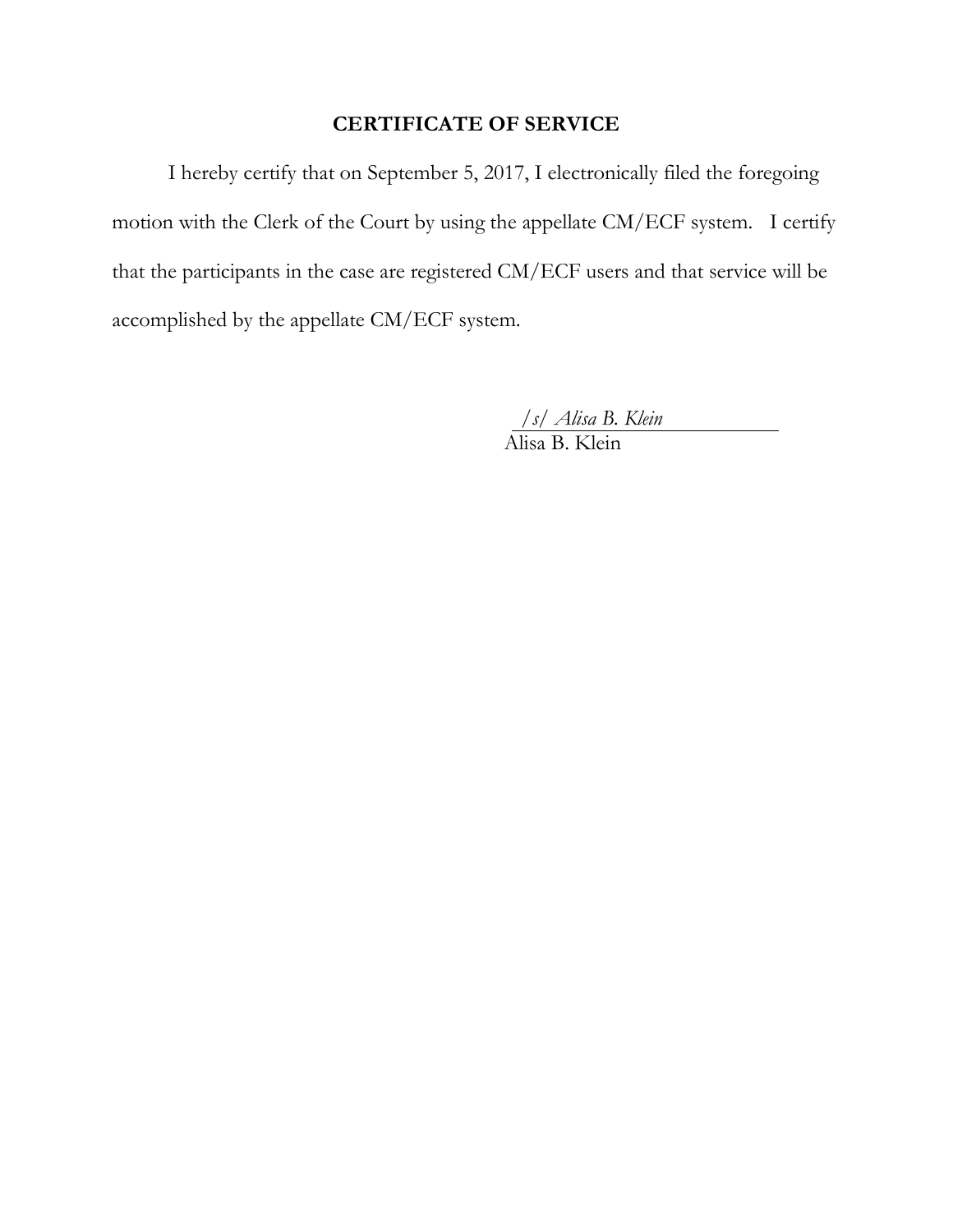## **CERTIFICATE OF SERVICE**

I hereby certify that on September 5, 2017, I electronically filed the foregoing motion with the Clerk of the Court by using the appellate CM/ECF system. I certify that the participants in the case are registered CM/ECF users and that service will be accomplished by the appellate CM/ECF system.

*/s/ Alisa B. Klein*

Alisa B. Klein